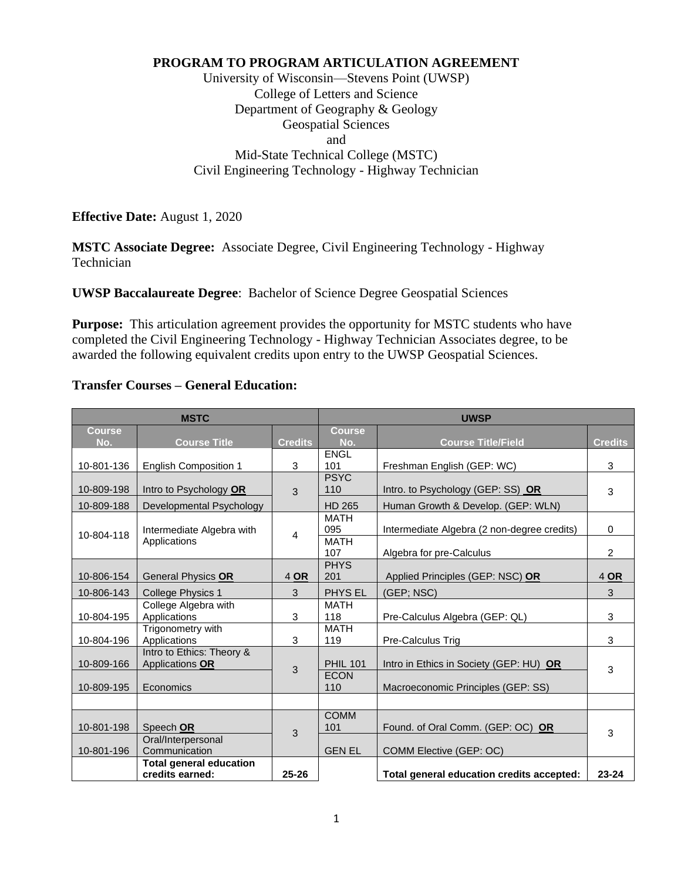### **PROGRAM TO PROGRAM ARTICULATION AGREEMENT**

University of Wisconsin—Stevens Point (UWSP) College of Letters and Science Department of Geography & Geology Geospatial Sciences and Mid-State Technical College (MSTC) Civil Engineering Technology - Highway Technician

**Effective Date:** August 1, 2020

**MSTC Associate Degree:** Associate Degree, Civil Engineering Technology - Highway Technician

**UWSP Baccalaureate Degree**: Bachelor of Science Degree Geospatial Sciences

**Purpose:** This articulation agreement provides the opportunity for MSTC students who have completed the Civil Engineering Technology - Highway Technician Associates degree, to be awarded the following equivalent credits upon entry to the UWSP Geospatial Sciences.

### **Transfer Courses – General Education:**

| <b>MSTC</b>   |                                |                | <b>UWSP</b>        |                                             |                |
|---------------|--------------------------------|----------------|--------------------|---------------------------------------------|----------------|
| <b>Course</b> |                                |                | <b>Course</b>      |                                             |                |
| No.           | <b>Course Title</b>            | <b>Credits</b> | No.                | <b>Course Title/Field</b>                   | <b>Credits</b> |
|               |                                |                | <b>ENGL</b>        |                                             |                |
| 10-801-136    | <b>English Composition 1</b>   | 3              | 101                | Freshman English (GEP: WC)                  | 3              |
| 10-809-198    | Intro to Psychology OR         | 3              | <b>PSYC</b><br>110 | Intro. to Psychology (GEP: SS) OR           | 3              |
| 10-809-188    | Developmental Psychology       |                | <b>HD 265</b>      | Human Growth & Develop. (GEP: WLN)          |                |
|               |                                |                | <b>MATH</b>        |                                             |                |
| 10-804-118    | Intermediate Algebra with      | $\overline{4}$ | 095                | Intermediate Algebra (2 non-degree credits) | $\mathbf 0$    |
|               | Applications                   |                | <b>MATH</b>        |                                             |                |
|               |                                |                | 107                | Algebra for pre-Calculus                    | $\overline{2}$ |
|               |                                |                | <b>PHYS</b>        |                                             |                |
| 10-806-154    | General Physics OR             | 4 OR           | 201                | Applied Principles (GEP: NSC) OR            | 4 OR           |
| 10-806-143    | <b>College Physics 1</b>       | 3              | PHYS EL            | (GEP; NSC)                                  | 3              |
|               | College Algebra with           |                | <b>MATH</b>        |                                             |                |
| 10-804-195    | Applications                   | 3              | 118                | Pre-Calculus Algebra (GEP: QL)              | 3              |
|               | Trigonometry with              |                | <b>MATH</b>        |                                             |                |
| 10-804-196    | Applications                   | 3              | 119                | Pre-Calculus Trig                           | 3              |
|               | Intro to Ethics: Theory &      |                |                    |                                             |                |
| 10-809-166    | Applications OR                | 3              | <b>PHIL 101</b>    | Intro in Ethics in Society (GEP: HU) OR     | 3              |
|               |                                |                | <b>ECON</b>        |                                             |                |
| 10-809-195    | Economics                      |                | 110                | Macroeconomic Principles (GEP: SS)          |                |
|               |                                |                |                    |                                             |                |
|               |                                |                | <b>COMM</b>        |                                             |                |
| 10-801-198    | Speech OR                      | 3              | 101                | Found. of Oral Comm. (GEP: OC) OR           | 3              |
|               | Oral/Interpersonal             |                |                    |                                             |                |
| 10-801-196    | Communication                  |                | <b>GEN EL</b>      | COMM Elective (GEP: OC)                     |                |
|               | <b>Total general education</b> |                |                    |                                             |                |
|               | credits earned:                | $25 - 26$      |                    | Total general education credits accepted:   | $23 - 24$      |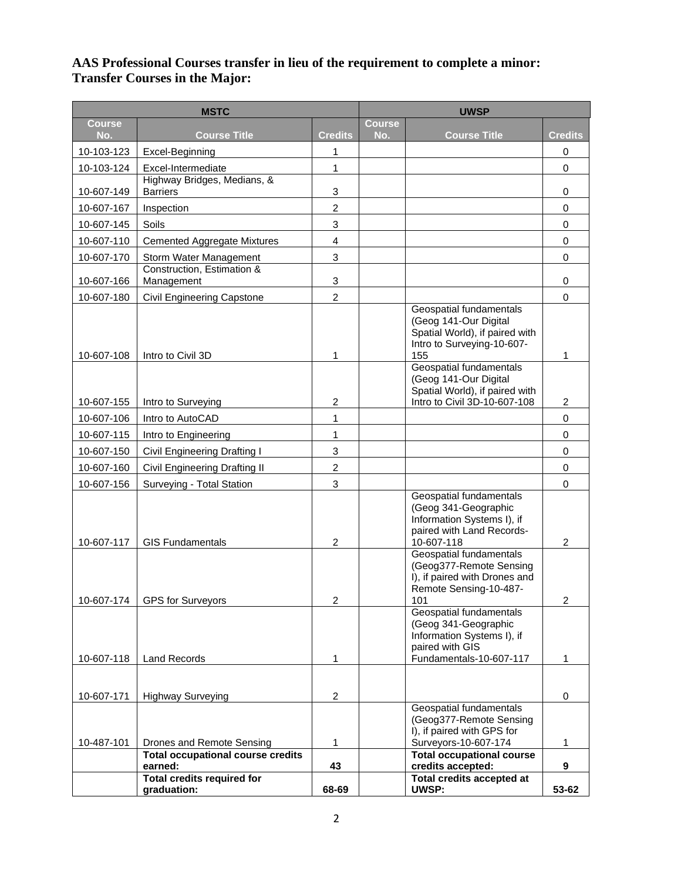### **AAS Professional Courses transfer in lieu of the requirement to complete a minor: Transfer Courses in the Major:**

| <b>MSTC</b>              |                                                            |                         | <b>UWSP</b>          |                                                                                                                             |                |
|--------------------------|------------------------------------------------------------|-------------------------|----------------------|-----------------------------------------------------------------------------------------------------------------------------|----------------|
| <b>Course</b><br>No.     | <b>Course Title</b>                                        | <b>Credits</b>          | <b>Course</b><br>No. | <b>Course Title</b>                                                                                                         | <b>Credits</b> |
| 10-103-123               | Excel-Beginning                                            | 1                       |                      |                                                                                                                             | 0              |
| 10-103-124               | Excel-Intermediate                                         | 1                       |                      |                                                                                                                             | 0              |
| 10-607-149               | Highway Bridges, Medians, &<br><b>Barriers</b>             | 3                       |                      |                                                                                                                             | 0              |
| 10-607-167               | Inspection                                                 | $\overline{c}$          |                      |                                                                                                                             | 0              |
| 10-607-145               | Soils                                                      | 3                       |                      |                                                                                                                             | $\mathsf 0$    |
| 10-607-110               | <b>Cemented Aggregate Mixtures</b>                         | $\overline{\mathbf{4}}$ |                      |                                                                                                                             | 0              |
| 10-607-170               | Storm Water Management                                     | 3                       |                      |                                                                                                                             | $\mathsf 0$    |
| 10-607-166               | Construction, Estimation &<br>Management                   | 3                       |                      |                                                                                                                             | 0              |
| 10-607-180               | Civil Engineering Capstone                                 | $\overline{c}$          |                      |                                                                                                                             | 0              |
| 10-607-108               | Intro to Civil 3D                                          | 1                       |                      | Geospatial fundamentals<br>(Geog 141-Our Digital<br>Spatial World), if paired with<br>Intro to Surveying-10-607-<br>155     | 1              |
| 10-607-155               |                                                            |                         |                      | <b>Geospatial fundamentals</b><br>(Geog 141-Our Digital<br>Spatial World), if paired with<br>Intro to Civil 3D-10-607-108   |                |
|                          | Intro to Surveying                                         | $\overline{c}$          |                      |                                                                                                                             | $\overline{c}$ |
| 10-607-106               | Intro to AutoCAD                                           | 1<br>1                  |                      |                                                                                                                             | 0<br>0         |
| 10-607-115               | Intro to Engineering                                       | 3                       |                      |                                                                                                                             | $\mathsf 0$    |
| 10-607-150               | Civil Engineering Drafting I                               | $\overline{c}$          |                      |                                                                                                                             | $\mathsf 0$    |
| 10-607-160<br>10-607-156 | Civil Engineering Drafting II<br>Surveying - Total Station | 3                       |                      |                                                                                                                             | $\mathsf 0$    |
| 10-607-117               | <b>GIS Fundamentals</b>                                    | $\overline{2}$          |                      | Geospatial fundamentals<br>(Geog 341-Geographic<br>Information Systems I), if<br>paired with Land Records-<br>10-607-118    | $\overline{2}$ |
|                          | 10-607-174   GPS for Surveyors                             | 2                       |                      | Geospatial fundamentals<br>(Geog377-Remote Sensing<br>I), if paired with Drones and<br>Remote Sensing-10-487-<br>101        | $\mathfrak{p}$ |
| 10-607-118               | <b>Land Records</b>                                        | 1                       |                      | Geospatial fundamentals<br>(Geog 341-Geographic<br>Information Systems I), if<br>paired with GIS<br>Fundamentals-10-607-117 | 1              |
| 10-607-171               | <b>Highway Surveying</b>                                   | $\overline{\mathbf{c}}$ |                      |                                                                                                                             | 0              |
| 10-487-101               | Drones and Remote Sensing                                  | 1                       |                      | Geospatial fundamentals<br>(Geog377-Remote Sensing<br>I), if paired with GPS for<br>Surveyors-10-607-174                    | 1              |
|                          | <b>Total occupational course credits</b><br>earned:        | 43                      |                      | <b>Total occupational course</b><br>credits accepted:                                                                       | 9              |
|                          | <b>Total credits required for</b><br>graduation:           | 68-69                   |                      | Total credits accepted at<br>UWSP:                                                                                          | 53-62          |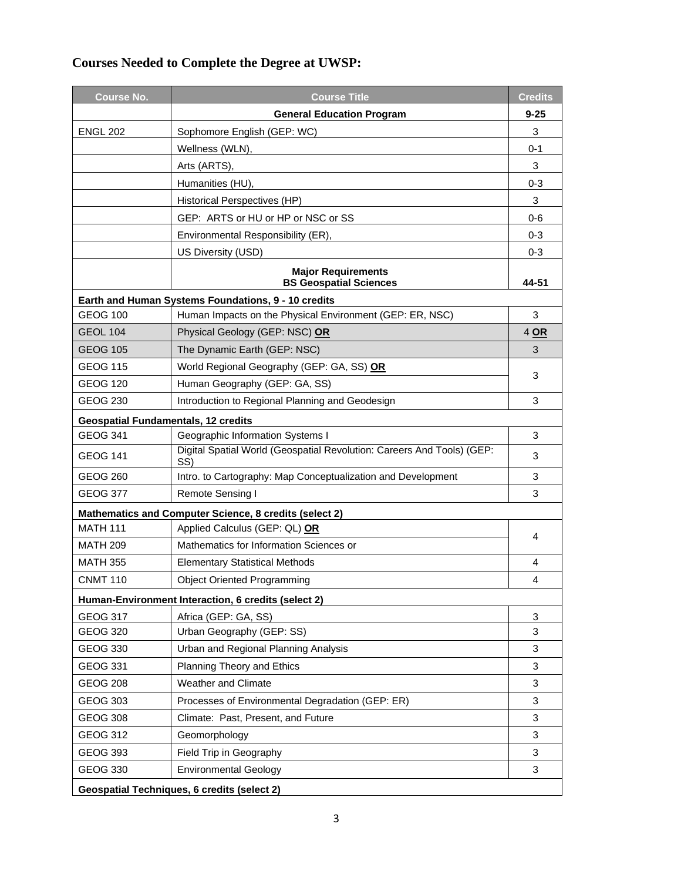# **Courses Needed to Complete the Degree at UWSP:**

| <b>Course No.</b>                           | <b>Course Title</b>                                                           | <b>Credits</b> |  |  |  |
|---------------------------------------------|-------------------------------------------------------------------------------|----------------|--|--|--|
|                                             | <b>General Education Program</b>                                              | $9 - 25$       |  |  |  |
| <b>ENGL 202</b>                             | Sophomore English (GEP: WC)                                                   | 3              |  |  |  |
|                                             | Wellness (WLN),                                                               | $0 - 1$        |  |  |  |
|                                             | Arts (ARTS),                                                                  | 3              |  |  |  |
|                                             | Humanities (HU),                                                              | $0 - 3$        |  |  |  |
|                                             | Historical Perspectives (HP)                                                  | 3              |  |  |  |
|                                             | GEP: ARTS or HU or HP or NSC or SS                                            | 0-6            |  |  |  |
|                                             | Environmental Responsibility (ER),                                            | $0 - 3$        |  |  |  |
|                                             | US Diversity (USD)                                                            | $0 - 3$        |  |  |  |
|                                             | <b>Major Requirements</b><br><b>BS Geospatial Sciences</b>                    | 44-51          |  |  |  |
|                                             | Earth and Human Systems Foundations, 9 - 10 credits                           |                |  |  |  |
| <b>GEOG 100</b>                             | Human Impacts on the Physical Environment (GEP: ER, NSC)                      | 3              |  |  |  |
| <b>GEOL 104</b>                             | Physical Geology (GEP: NSC) OR                                                | 4 OR           |  |  |  |
| <b>GEOG 105</b>                             | The Dynamic Earth (GEP: NSC)                                                  | 3              |  |  |  |
| <b>GEOG 115</b>                             | World Regional Geography (GEP: GA, SS) OR                                     | 3              |  |  |  |
| <b>GEOG 120</b>                             | Human Geography (GEP: GA, SS)                                                 |                |  |  |  |
| GEOG 230                                    | Introduction to Regional Planning and Geodesign                               | 3              |  |  |  |
| <b>Geospatial Fundamentals, 12 credits</b>  |                                                                               |                |  |  |  |
| <b>GEOG 341</b>                             | Geographic Information Systems I                                              | 3              |  |  |  |
| GEOG 141                                    | Digital Spatial World (Geospatial Revolution: Careers And Tools) (GEP:<br>SS) | 3              |  |  |  |
| <b>GEOG 260</b>                             | Intro. to Cartography: Map Conceptualization and Development                  | 3              |  |  |  |
| <b>GEOG 377</b>                             | Remote Sensing I                                                              | 3              |  |  |  |
|                                             | Mathematics and Computer Science, 8 credits (select 2)                        |                |  |  |  |
| <b>MATH 111</b>                             | Applied Calculus (GEP: QL) OR                                                 | 4              |  |  |  |
| <b>MATH 209</b>                             | Mathematics for Information Sciences or                                       |                |  |  |  |
| <b>MATH 355</b>                             | <b>Elementary Statistical Methods</b>                                         | 4              |  |  |  |
| <b>CNMT 110</b>                             | <b>Object Oriented Programming</b>                                            | 4              |  |  |  |
|                                             | Human-Environment Interaction, 6 credits (select 2)                           |                |  |  |  |
| <b>GEOG 317</b>                             | Africa (GEP: GA, SS)                                                          | 3              |  |  |  |
| <b>GEOG 320</b>                             | Urban Geography (GEP: SS)                                                     | 3              |  |  |  |
| GEOG 330                                    | Urban and Regional Planning Analysis                                          | 3              |  |  |  |
| <b>GEOG 331</b>                             | Planning Theory and Ethics                                                    | 3              |  |  |  |
| <b>GEOG 208</b>                             | <b>Weather and Climate</b>                                                    | 3              |  |  |  |
| GEOG 303                                    | Processes of Environmental Degradation (GEP: ER)                              | 3              |  |  |  |
| <b>GEOG 308</b>                             | Climate: Past, Present, and Future                                            | 3              |  |  |  |
| <b>GEOG 312</b>                             | Geomorphology                                                                 | 3              |  |  |  |
| <b>GEOG 393</b>                             | Field Trip in Geography                                                       | 3              |  |  |  |
| <b>GEOG 330</b>                             | <b>Environmental Geology</b>                                                  | 3              |  |  |  |
| Geospatial Techniques, 6 credits (select 2) |                                                                               |                |  |  |  |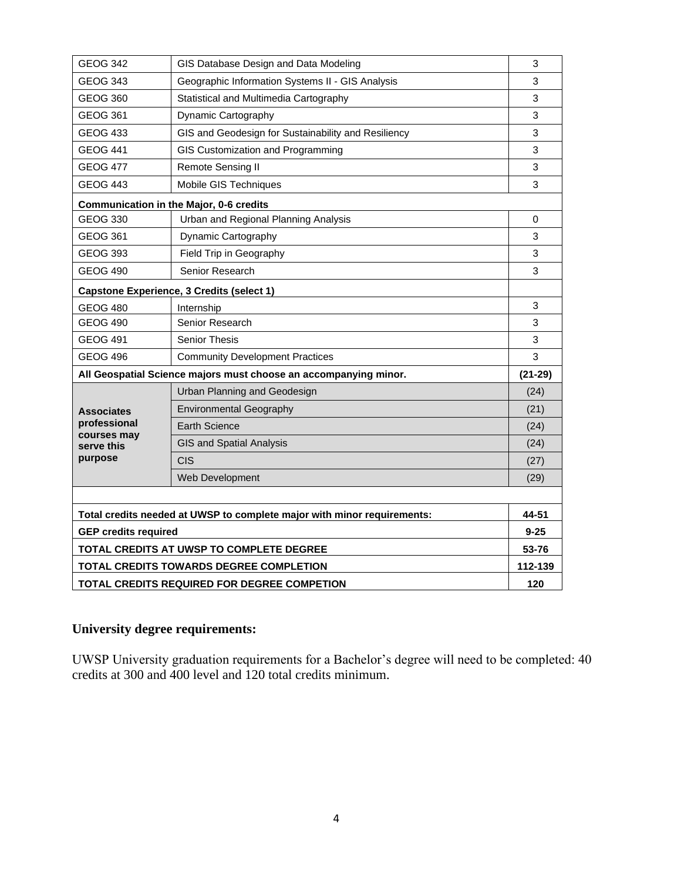| GEOG 342                                    | GIS Database Design and Data Modeling                                   |           |
|---------------------------------------------|-------------------------------------------------------------------------|-----------|
| <b>GEOG 343</b>                             | Geographic Information Systems II - GIS Analysis                        | 3         |
| GEOG 360                                    | Statistical and Multimedia Cartography                                  | 3         |
| GEOG 361                                    | Dynamic Cartography                                                     | 3         |
| <b>GEOG 433</b>                             | GIS and Geodesign for Sustainability and Resiliency                     | 3         |
| <b>GEOG 441</b>                             | GIS Customization and Programming                                       | 3         |
| <b>GEOG 477</b>                             | Remote Sensing II                                                       | 3         |
| <b>GEOG 443</b>                             | Mobile GIS Techniques                                                   | 3         |
|                                             | Communication in the Major, 0-6 credits                                 |           |
| <b>GEOG 330</b>                             | Urban and Regional Planning Analysis                                    | 0         |
| GEOG 361                                    | Dynamic Cartography                                                     | 3         |
| GEOG 393                                    | Field Trip in Geography                                                 | 3         |
| <b>GEOG 490</b>                             | Senior Research                                                         | 3         |
|                                             | <b>Capstone Experience, 3 Credits (select 1)</b>                        |           |
| <b>GEOG 480</b>                             | Internship                                                              | 3         |
| <b>GEOG 490</b>                             | Senior Research                                                         | 3         |
| <b>GEOG 491</b>                             | <b>Senior Thesis</b>                                                    | 3         |
| <b>GEOG 496</b>                             | <b>Community Development Practices</b>                                  | 3         |
|                                             | All Geospatial Science majors must choose an accompanying minor.        | $(21-29)$ |
|                                             | Urban Planning and Geodesign                                            | (24)      |
| <b>Associates</b>                           | <b>Environmental Geography</b>                                          | (21)      |
| professional<br>courses may                 | <b>Earth Science</b>                                                    | (24)      |
| serve this                                  | <b>GIS and Spatial Analysis</b>                                         | (24)      |
| purpose                                     | CIS                                                                     | (27)      |
|                                             | Web Development                                                         | (29)      |
|                                             |                                                                         |           |
|                                             | Total credits needed at UWSP to complete major with minor requirements: | 44-51     |
| <b>GEP credits required</b>                 |                                                                         | $9 - 25$  |
| TOTAL CREDITS AT UWSP TO COMPLETE DEGREE    |                                                                         | 53-76     |
| TOTAL CREDITS TOWARDS DEGREE COMPLETION     |                                                                         |           |
| TOTAL CREDITS REQUIRED FOR DEGREE COMPETION |                                                                         | 120       |

## **University degree requirements:**

UWSP University graduation requirements for a Bachelor's degree will need to be completed: 40 credits at 300 and 400 level and 120 total credits minimum.